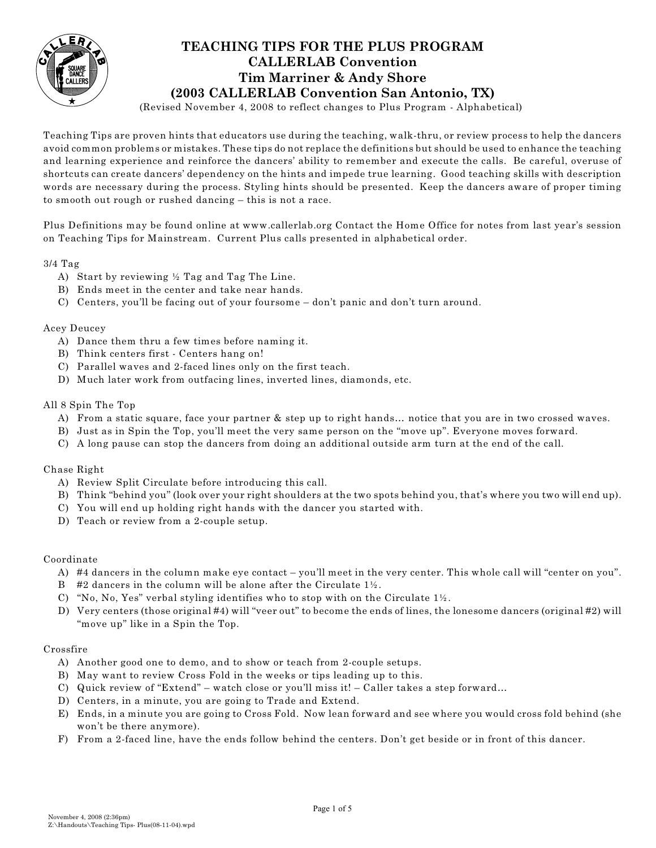

# **TEACHING TIPS FOR THE PLUS PROGRAM CALLERLAB Convention Tim Marriner & Andy Shore (2003 CALLERLAB Convention San Antonio, TX)**

(Revised November 4, 2008 to reflect changes to Plus Program - Alphabetical)

Teaching Tips are proven hints that educators use during the teaching, walk-thru, or review process to help the dancers avoid common problems or mistakes. These tips do not replace the definitions but should be used to enhance the teaching and learning experience and reinforce the dancers' ability to remember and execute the calls. Be careful, overuse of shortcuts can create dancers' dependency on the hints and impede true learning. Good teaching skills with description words are necessary during the process. Styling hints should be presented. Keep the dancers aware of proper timing to smooth out rough or rushed dancing – this is not a race.

Plus Definitions may be found online at www.callerlab.org Contact the Home Office for notes from last year's session on Teaching Tips for Mainstream. Current Plus calls presented in alphabetical order.

3/4 Tag

- A) Start by reviewing ½ Tag and Tag The Line.
- B) Ends meet in the center and take near hands.
- C) Centers, you'll be facing out of your foursome don't panic and don't turn around.

#### Acey Deucey

- A) Dance them thru a few times before naming it.
- B) Think centers first Centers hang on!
- C) Parallel waves and 2-faced lines only on the first teach.
- D) Much later work from outfacing lines, inverted lines, diamonds, etc.

#### All 8 Spin The Top

- A) From a static square, face your partner & step up to right hands… notice that you are in two crossed waves.
- B) Just as in Spin the Top, you'll meet the very same person on the "move up". Everyone moves forward.
- C) A long pause can stop the dancers from doing an additional outside arm turn at the end of the call.

#### Chase Right

- A) Review Split Circulate before introducing this call.
- B) Think "behind you" (look over your right shoulders at the two spots behind you, that's where you two will end up).
- C) You will end up holding right hands with the dancer you started with.
- D) Teach or review from a 2-couple setup.

#### Coordinate

- A) #4 dancers in the column make eye contact you'll meet in the very center. This whole call will "center on you".
- B #2 dancers in the column will be alone after the Circulate  $1\frac{1}{2}$ .
- C) "No, No, Yes" verbal styling identifies who to stop with on the Circulate  $1\frac{1}{2}$ .
- D) Very centers (those original #4) will "veer out" to become the ends of lines, the lonesome dancers (original #2) will "move up" like in a Spin the Top.

#### Crossfire

- A) Another good one to demo, and to show or teach from 2-couple setups.
- B) May want to review Cross Fold in the weeks or tips leading up to this.
- C) Quick review of "Extend" watch close or you'll miss it! Caller takes a step forward…
- D) Centers, in a minute, you are going to Trade and Extend.
- E) Ends, in a minute you are going to Cross Fold. Now lean forward and see where you would cross fold behind (she won't be there anymore).
- F) From a 2-faced line, have the ends follow behind the centers. Don't get beside or in front of this dancer.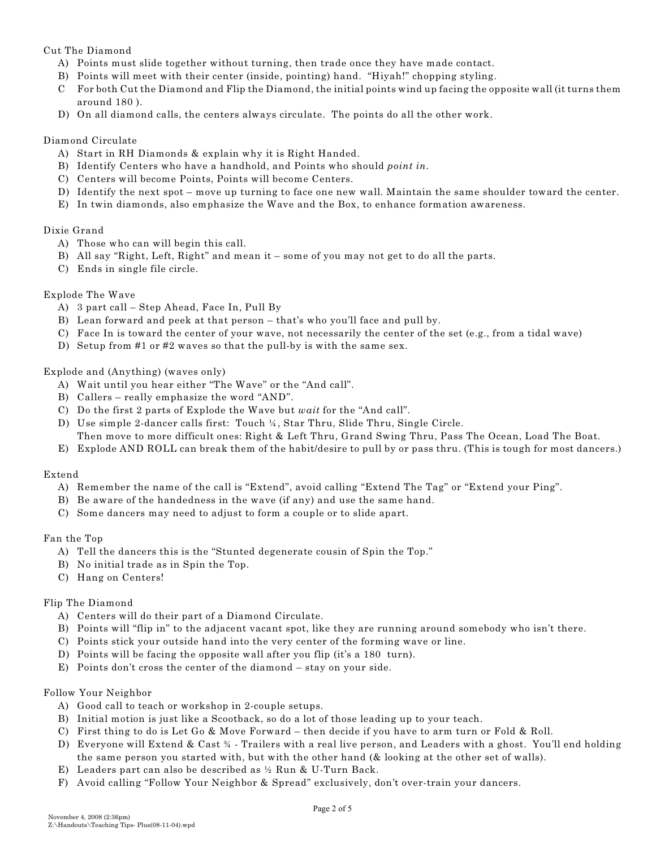# Cut The Diamond

- A) Points must slide together without turning, then trade once they have made contact.
- B) Points will meet with their center (inside, pointing) hand. "Hiyah!" chopping styling.
- C For both Cut the Diamond and Flip the Diamond, the initial points wind up facing the opposite wall (it turns them around 180 ).
- D) On all diamond calls, the centers always circulate. The points do all the other work.

### Diamond Circulate

- A) Start in RH Diamonds & explain why it is Right Handed.
- B) Identify Centers who have a handhold, and Points who should *point in*.
- C) Centers will become Points, Points will become Centers.
- D) Identify the next spot move up turning to face one new wall. Maintain the same shoulder toward the center.
- E) In twin diamonds, also emphasize the Wave and the Box, to enhance formation awareness.

# Dixie Grand

- A) Those who can will begin this call.
- B) All say "Right, Left, Right" and mean it some of you may not get to do all the parts.
- C) Ends in single file circle.

# Explode The Wave

- A) 3 part call Step Ahead, Face In, Pull By
- B) Lean forward and peek at that person that's who you'll face and pull by.
- C) Face In is toward the center of your wave, not necessarily the center of the set (e.g., from a tidal wave)
- D) Setup from #1 or #2 waves so that the pull-by is with the same sex.

# Explode and (Anything) (waves only)

- A) Wait until you hear either "The Wave" or the "And call".
- B) Callers really emphasize the word "AND".
- C) Do the first 2 parts of Explode the Wave but *wait* for the "And call".
- D) Use simple 2-dancer calls first: Touch ¼, Star Thru, Slide Thru, Single Circle.
- Then move to more difficult ones: Right & Left Thru, Grand Swing Thru, Pass The Ocean, Load The Boat.
- E) Explode AND ROLL can break them of the habit/desire to pull by or pass thru. (This is tough for most dancers.)

#### Extend

- A) Remember the name of the call is "Extend", avoid calling "Extend The Tag" or "Extend your Ping".
- B) Be aware of the handedness in the wave (if any) and use the same hand.
- C) Some dancers may need to adjust to form a couple or to slide apart.

#### Fan the Top

- A) Tell the dancers this is the "Stunted degenerate cousin of Spin the Top."
- B) No initial trade as in Spin the Top.
- C) Hang on Centers!

#### Flip The Diamond

- A) Centers will do their part of a Diamond Circulate.
- B) Points will "flip in" to the adjacent vacant spot, like they are running around somebody who isn't there.
- C) Points stick your outside hand into the very center of the forming wave or line.
- D) Points will be facing the opposite wall after you flip (it's a 180 turn).
- E) Points don't cross the center of the diamond stay on your side.

#### Follow Your Neighbor

- A) Good call to teach or workshop in 2-couple setups.
- B) Initial motion is just like a Scootback, so do a lot of those leading up to your teach.
- C) First thing to do is Let Go & Move Forward then decide if you have to arm turn or Fold & Roll.
- D) Everyone will Extend & Cast ¾ Trailers with a real live person, and Leaders with a ghost. You'll end holding the same person you started with, but with the other hand (& looking at the other set of walls).
- E) Leaders part can also be described as ½ Run & U-Turn Back.
- F) Avoid calling "Follow Your Neighbor & Spread" exclusively, don't over-train your dancers.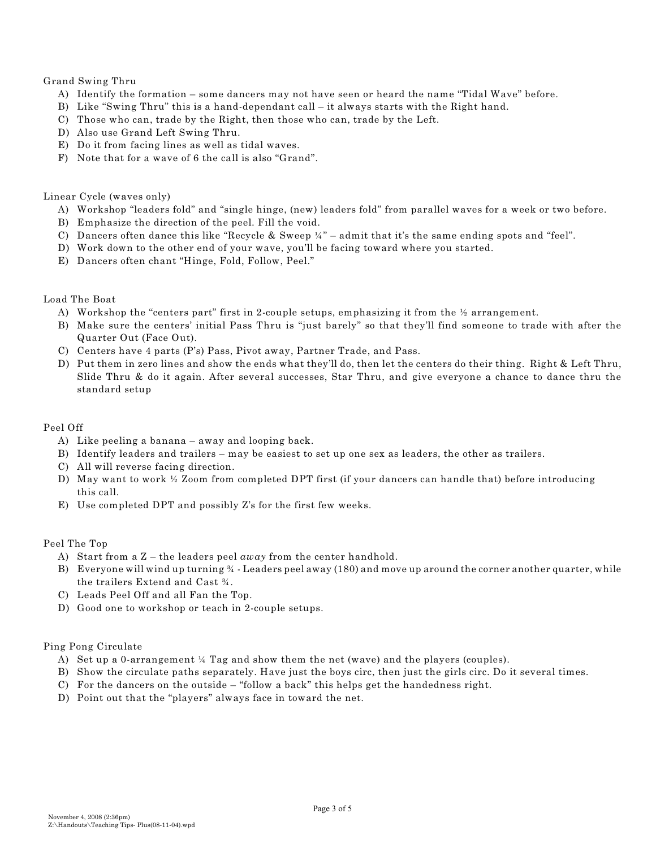#### Grand Swing Thru

- A) Identify the formation some dancers may not have seen or heard the name "Tidal Wave" before.
- B) Like "Swing Thru" this is a hand-dependant call it always starts with the Right hand.
- C) Those who can, trade by the Right, then those who can, trade by the Left.
- D) Also use Grand Left Swing Thru.
- E) Do it from facing lines as well as tidal waves.
- F) Note that for a wave of 6 the call is also "Grand".

#### Linear Cycle (waves only)

- A) Workshop "leaders fold" and "single hinge, (new) leaders fold" from parallel waves for a week or two before.
- B) Emphasize the direction of the peel. Fill the void.
- C) Dancers often dance this like "Recycle & Sweep  $\frac{1}{4}$ " admit that it's the same ending spots and "feel".
- D) Work down to the other end of your wave, you'll be facing toward where you started.
- E) Dancers often chant "Hinge, Fold, Follow, Peel."

#### Load The Boat

- A) Workshop the "centers part" first in 2-couple setups, emphasizing it from the ½ arrangement.
- B) Make sure the centers' initial Pass Thru is "just barely" so that they'll find someone to trade with after the Quarter Out (Face Out).
- C) Centers have 4 parts (P's) Pass, Pivot away, Partner Trade, and Pass.
- D) Put them in zero lines and show the ends what they'll do, then let the centers do their thing. Right & Left Thru, Slide Thru & do it again. After several successes, Star Thru, and give everyone a chance to dance thru the standard setup

#### Peel Off

- A) Like peeling a banana away and looping back.
- B) Identify leaders and trailers may be easiest to set up one sex as leaders, the other as trailers.
- C) All will reverse facing direction.
- D) May want to work ½ Zoom from completed DPT first (if your dancers can handle that) before introducing this call.
- E) Use completed DPT and possibly Z's for the first few weeks.

#### Peel The Top

- A) Start from a Z the leaders peel *away* from the center handhold.
- B) Everyone will wind up turning ¾ Leaders peel away (180) and move up around the corner another quarter, while the trailers Extend and Cast ¾.
- C) Leads Peel Off and all Fan the Top.
- D) Good one to workshop or teach in 2-couple setups.

#### Ping Pong Circulate

- A) Set up a 0-arrangement  $\frac{1}{4}$  Tag and show them the net (wave) and the players (couples).
- B) Show the circulate paths separately. Have just the boys circ, then just the girls circ. Do it several times.
- C) For the dancers on the outside "follow a back" this helps get the handedness right.
- D) Point out that the "players" always face in toward the net.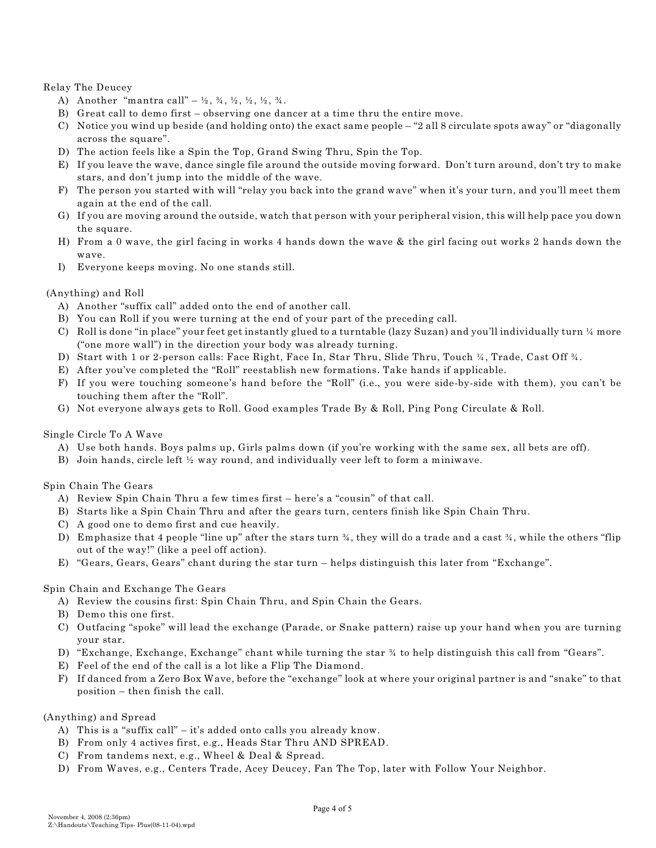Relay The Deucey

- A) Another "mantra call" ½, ¾, ½, ½, ½, ¾.
- B) Great call to demo first observing one dancer at a time thru the entire move.
- C) Notice you wind up beside (and holding onto) the exact same people "2 all 8 circulate spots away" or "diagonally across the square".
- D) The action feels like a Spin the Top, Grand Swing Thru, Spin the Top.
- E) If you leave the wave, dance single file around the outside moving forward. Don't turn around, don't try to make stars, and don't jump into the middle of the wave.
- F) The person you started with will "relay you back into the grand wave" when it's your turn, and you'll meet them again at the end of the call.
- G) If you are moving around the outside, watch that person with your peripheral vision, this will help pace you down the square.
- H) From a 0 wave, the girl facing in works 4 hands down the wave & the girl facing out works 2 hands down the wave.
- I) Everyone keeps moving. No one stands still.

# (Anything) and Roll

- A) Another "suffix call" added onto the end of another call.
- B) You can Roll if you were turning at the end of your part of the preceding call.
- C) Roll is done "in place" your feet get instantly glued to a turntable (lazy Suzan) and you'll individually turn ¼ more ("one more wall") in the direction your body was already turning.
- D) Start with 1 or 2-person calls: Face Right, Face In, Star Thru, Slide Thru, Touch ¼, Trade, Cast Off ¾.
- E) After you've completed the "Roll" reestablish new formations. Take hands if applicable.
- F) If you were touching someone's hand before the "Roll" (i.e., you were side-by-side with them), you can't be touching them after the "Roll".
- G) Not everyone always gets to Roll. Good examples Trade By & Roll, Ping Pong Circulate & Roll.

#### Single Circle To A Wave

- A) Use both hands. Boys palms up, Girls palms down (if you're working with the same sex, all bets are off).
- B) Join hands, circle left ½ way round, and individually veer left to form a miniwave.

#### Spin Chain The Gears

- A) Review Spin Chain Thru a few times first here's a "cousin" of that call.
- B) Starts like a Spin Chain Thru and after the gears turn, centers finish like Spin Chain Thru.
- C) A good one to demo first and cue heavily.
- D) Emphasize that 4 people "line up" after the stars turn ¾, they will do a trade and a cast ¾, while the others "flip out of the way!" (like a peel off action).
- E) "Gears, Gears, Gears" chant during the star turn helps distinguish this later from "Exchange".

#### Spin Chain and Exchange The Gears

- A) Review the cousins first: Spin Chain Thru, and Spin Chain the Gears.
- B) Demo this one first.
- C) Outfacing "spoke" will lead the exchange (Parade, or Snake pattern) raise up your hand when you are turning your star.
- D) "Exchange, Exchange, Exchange" chant while turning the star ¾ to help distinguish this call from "Gears".
- E) Feel of the end of the call is a lot like a Flip The Diamond.
- F) If danced from a Zero Box Wave, before the "exchange" look at where your original partner is and "snake" to that position – then finish the call.

#### (Anything) and Spread

- A) This is a "suffix call" it's added onto calls you already know.
- B) From only 4 actives first, e.g., Heads Star Thru AND SPREAD.
- C) From tandems next, e.g., Wheel & Deal & Spread.
- D) From Waves, e.g., Centers Trade, Acey Deucey, Fan The Top, later with Follow Your Neighbor.